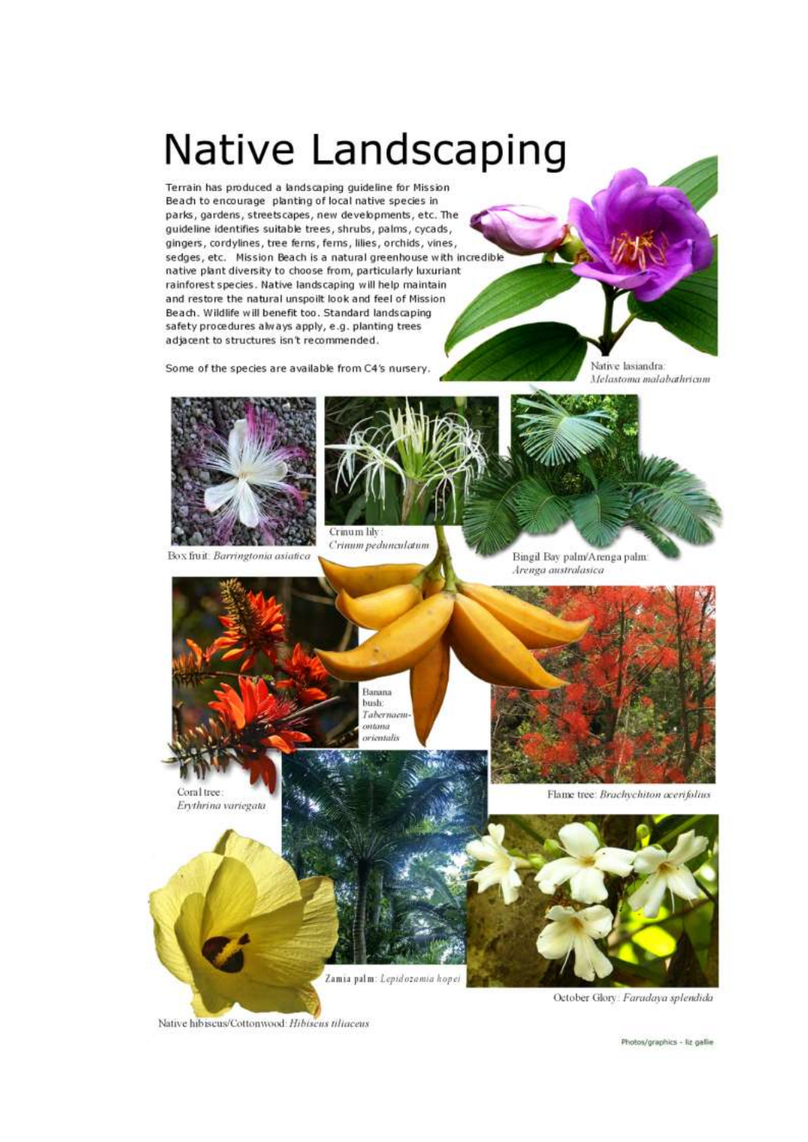# Native Landscaping

Terrain has produced a landscaping quideline for Mission Beach to encourage planting of local native species in parks, gardens, streetscapes, new developments, etc. The guideline identifies suitable trees, shrubs, palms, cycads, gingers, cordylines, tree ferns, ferns, lilies, orchids, vines, sedges, etc. Mission Beach is a natural greenhouse with incredible native plant diversity to choose from, particularly luxuriant rainforest species. Native landscaping will help maintain and restore the natural unspoilt look and feel of Mission Beach. Wildlife will benefit too. Standard landscaping safety procedures always apply, e.g. planting trees adjacent to structures isn't recommended.

Some of the species are available from C4's nursery.

Native lasiandra: Melastoma malabathricum



Box fiuit: Barringtonia asiatica



Crimum pedunculatum

Bingil Bay palm/Arenga palm: Arenga australasica







Banana

Flame tree: Brachychiton acerifolius



Zamia palm: Lepidozamia hopei

October Glory: Faradaya splendida

Native hibiscus/Cottonwood: Hibiscus tiliaceus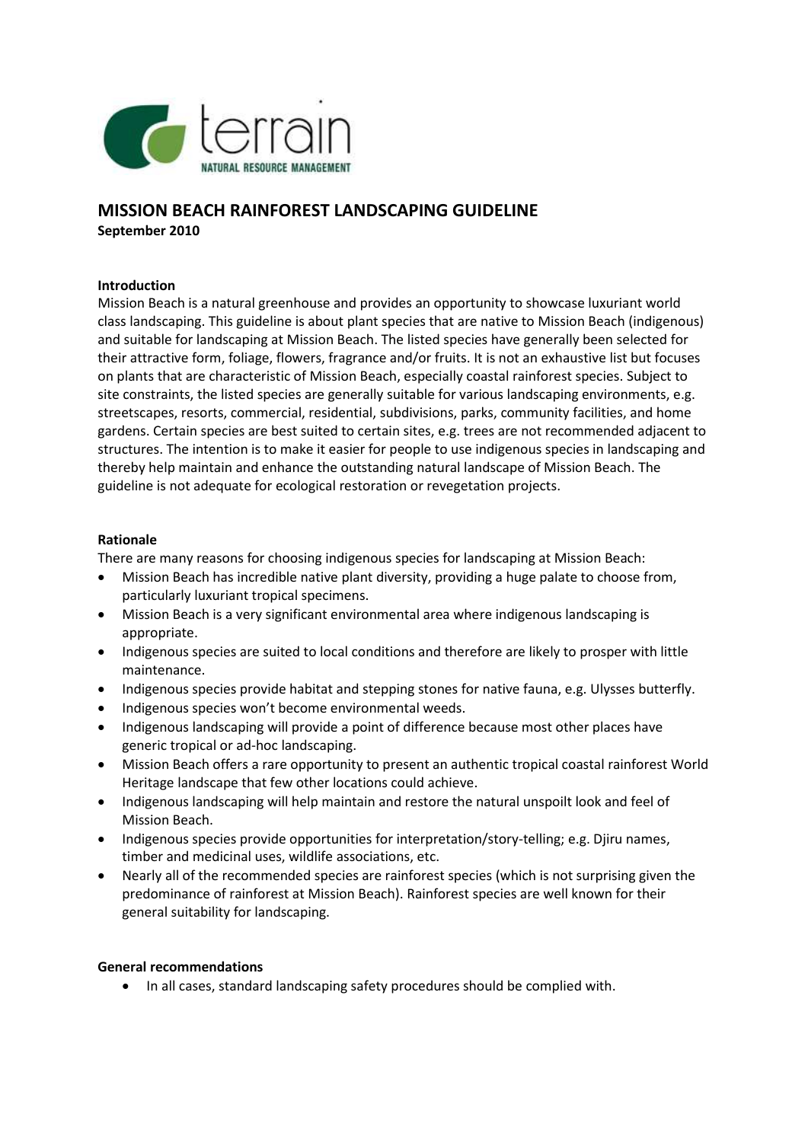

# **MISSION BEACH RAINFOREST LANDSCAPING GUIDELINE September 2010**

## **Introduction**

Mission Beach is a natural greenhouse and provides an opportunity to showcase luxuriant world class landscaping. This guideline is about plant species that are native to Mission Beach (indigenous) and suitable for landscaping at Mission Beach. The listed species have generally been selected for their attractive form, foliage, flowers, fragrance and/or fruits. It is not an exhaustive list but focuses on plants that are characteristic of Mission Beach, especially coastal rainforest species. Subject to site constraints, the listed species are generally suitable for various landscaping environments, e.g. streetscapes, resorts, commercial, residential, subdivisions, parks, community facilities, and home gardens. Certain species are best suited to certain sites, e.g. trees are not recommended adjacent to structures. The intention is to make it easier for people to use indigenous species in landscaping and thereby help maintain and enhance the outstanding natural landscape of Mission Beach. The guideline is not adequate for ecological restoration or revegetation projects.

#### **Rationale**

There are many reasons for choosing indigenous species for landscaping at Mission Beach:

- Mission Beach has incredible native plant diversity, providing a huge palate to choose from, particularly luxuriant tropical specimens.
- Mission Beach is a very significant environmental area where indigenous landscaping is appropriate.
- Indigenous species are suited to local conditions and therefore are likely to prosper with little maintenance.
- Indigenous species provide habitat and stepping stones for native fauna, e.g. Ulysses butterfly.
- Indigenous species won't become environmental weeds.
- Indigenous landscaping will provide a point of difference because most other places have generic tropical or ad-hoc landscaping.
- Mission Beach offers a rare opportunity to present an authentic tropical coastal rainforest World Heritage landscape that few other locations could achieve.
- Indigenous landscaping will help maintain and restore the natural unspoilt look and feel of Mission Beach.
- Indigenous species provide opportunities for interpretation/story-telling; e.g. Djiru names, timber and medicinal uses, wildlife associations, etc.
- Nearly all of the recommended species are rainforest species (which is not surprising given the predominance of rainforest at Mission Beach). Rainforest species are well known for their general suitability for landscaping.

#### **General recommendations**

• In all cases, standard landscaping safety procedures should be complied with.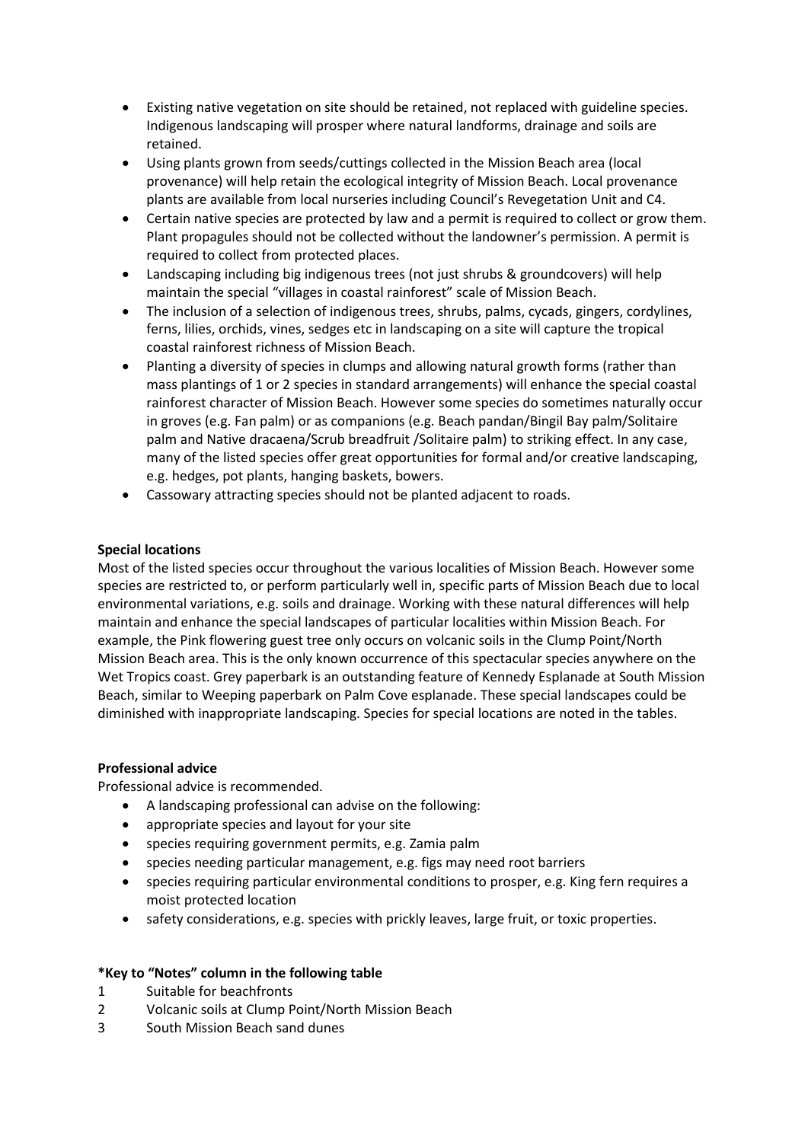- Existing native vegetation on site should be retained, not replaced with guideline species. Indigenous landscaping will prosper where natural landforms, drainage and soils are retained.
- Using plants grown from seeds/cuttings collected in the Mission Beach area (local provenance) will help retain the ecological integrity of Mission Beach. Local provenance plants are available from local nurseries including Council's Revegetation Unit and C4.
- Certain native species are protected by law and a permit is required to collect or grow them. Plant propagules should not be collected without the landowner's permission. A permit is required to collect from protected places.
- Landscaping including big indigenous trees (not just shrubs & groundcovers) will help maintain the special "villages in coastal rainforest" scale of Mission Beach.
- The inclusion of a selection of indigenous trees, shrubs, palms, cycads, gingers, cordylines, ferns, lilies, orchids, vines, sedges etc in landscaping on a site will capture the tropical coastal rainforest richness of Mission Beach.
- Planting a diversity of species in clumps and allowing natural growth forms (rather than mass plantings of 1 or 2 species in standard arrangements) will enhance the special coastal rainforest character of Mission Beach. However some species do sometimes naturally occur in groves (e.g. Fan palm) or as companions (e.g. Beach pandan/Bingil Bay palm/Solitaire palm and Native dracaena/Scrub breadfruit /Solitaire palm) to striking effect. In any case, many of the listed species offer great opportunities for formal and/or creative landscaping, e.g. hedges, pot plants, hanging baskets, bowers.
- Cassowary attracting species should not be planted adjacent to roads.

#### **Special locations**

Most of the listed species occur throughout the various localities of Mission Beach. However some species are restricted to, or perform particularly well in, specific parts of Mission Beach due to local environmental variations, e.g. soils and drainage. Working with these natural differences will help maintain and enhance the special landscapes of particular localities within Mission Beach. For example, the Pink flowering guest tree only occurs on volcanic soils in the Clump Point/North Mission Beach area. This is the only known occurrence of this spectacular species anywhere on the Wet Tropics coast. Grey paperbark is an outstanding feature of Kennedy Esplanade at South Mission Beach, similar to Weeping paperbark on Palm Cove esplanade. These special landscapes could be diminished with inappropriate landscaping. Species for special locations are noted in the tables.

#### **Professional advice**

Professional advice is recommended.

- A landscaping professional can advise on the following:
- appropriate species and layout for your site
- species requiring government permits, e.g. Zamia palm
- species needing particular management, e.g. figs may need root barriers
- species requiring particular environmental conditions to prosper, e.g. King fern requires a moist protected location
- safety considerations, e.g. species with prickly leaves, large fruit, or toxic properties.

## **\*Key to "Notes" column in the following table**

- 1 Suitable for beachfronts
- 2 Volcanic soils at Clump Point/North Mission Beach
- 3 South Mission Beach sand dunes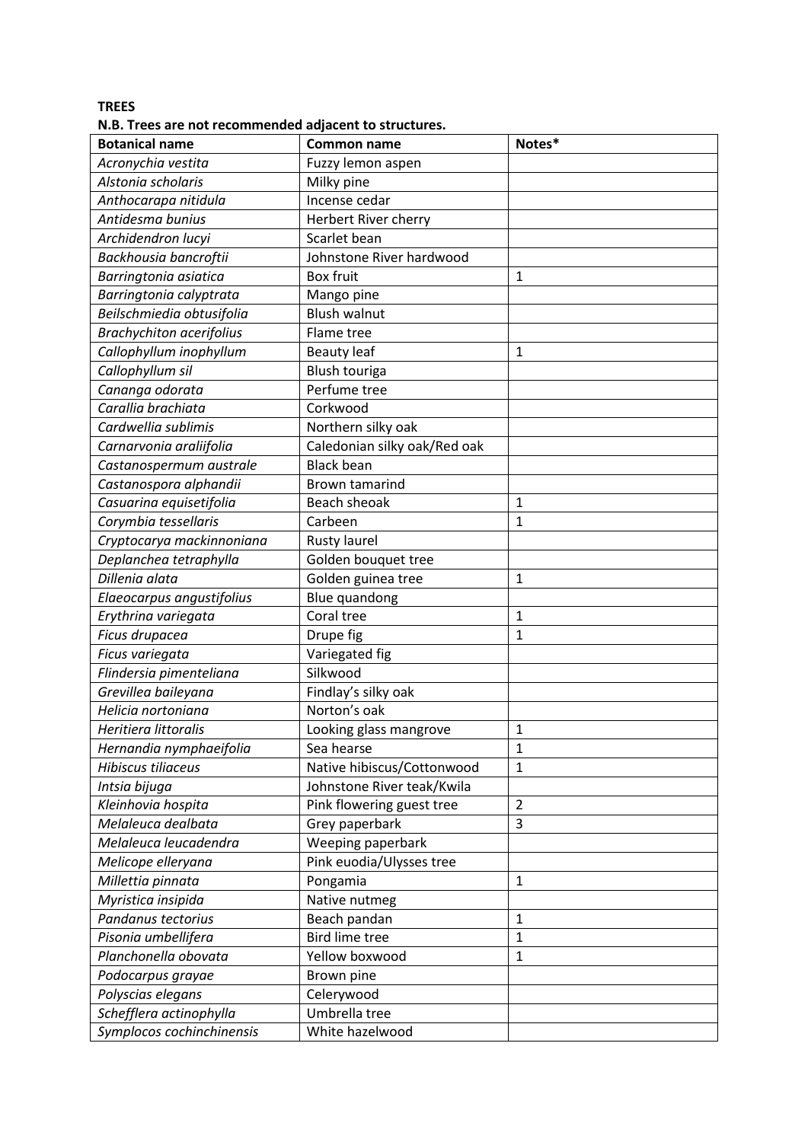**TREES**

**N.B. Trees are not recommended adjacent to structures.**

| <b>Botanical name</b>           | <b>Common name</b>           | Notes*         |
|---------------------------------|------------------------------|----------------|
| Acronychia vestita              | Fuzzy lemon aspen            |                |
| Alstonia scholaris              | Milky pine                   |                |
| Anthocarapa nitidula            | Incense cedar                |                |
| Antidesma bunius                | Herbert River cherry         |                |
| Archidendron lucyi              | Scarlet bean                 |                |
| Backhousia bancroftii           | Johnstone River hardwood     |                |
| Barringtonia asiatica           | <b>Box fruit</b>             | $\mathbf{1}$   |
| Barringtonia calyptrata         | Mango pine                   |                |
| Beilschmiedia obtusifolia       | <b>Blush walnut</b>          |                |
| <b>Brachychiton acerifolius</b> | Flame tree                   |                |
| Callophyllum inophyllum         | <b>Beauty leaf</b>           | $\mathbf{1}$   |
| Callophyllum sil                | Blush touriga                |                |
| Cananga odorata                 | Perfume tree                 |                |
| Carallia brachiata              | Corkwood                     |                |
| Cardwellia sublimis             | Northern silky oak           |                |
| Carnarvonia araliifolia         | Caledonian silky oak/Red oak |                |
| Castanospermum australe         | <b>Black bean</b>            |                |
| Castanospora alphandii          | Brown tamarind               |                |
| Casuarina equisetifolia         | Beach sheoak                 | $\mathbf{1}$   |
| Corymbia tessellaris            | Carbeen                      | $\mathbf{1}$   |
| Cryptocarya mackinnoniana       | Rusty laurel                 |                |
| Deplanchea tetraphylla          | Golden bouquet tree          |                |
| Dillenia alata                  | Golden guinea tree           | $\mathbf{1}$   |
| Elaeocarpus angustifolius       | Blue quandong                |                |
| Erythrina variegata             | Coral tree                   | $\mathbf{1}$   |
| Ficus drupacea                  | Drupe fig                    | $\mathbf{1}$   |
| Ficus variegata                 | Variegated fig               |                |
| Flindersia pimenteliana         | Silkwood                     |                |
| Grevillea baileyana             | Findlay's silky oak          |                |
| Helicia nortoniana              | Norton's oak                 |                |
| Heritiera littoralis            | Looking glass mangrove       | $\mathbf{1}$   |
| Hernandia nymphaeifolia         | Sea hearse                   | $\mathbf 1$    |
| <b>Hibiscus tiliaceus</b>       | Native hibiscus/Cottonwood   | $\mathbf{1}$   |
| Intsia bijuga                   | Johnstone River teak/Kwila   |                |
| Kleinhovia hospita              | Pink flowering guest tree    | $\overline{2}$ |
| Melaleuca dealbata              | Grey paperbark               | 3              |
| Melaleuca leucadendra           | Weeping paperbark            |                |
| Melicope elleryana              | Pink euodia/Ulysses tree     |                |
| Millettia pinnata               | Pongamia                     | $\mathbf{1}$   |
| Myristica insipida              | Native nutmeg                |                |
| Pandanus tectorius              | Beach pandan                 | $\mathbf{1}$   |
| Pisonia umbellifera             | <b>Bird lime tree</b>        | $\mathbf{1}$   |
| Planchonella obovata            | Yellow boxwood               | $\mathbf{1}$   |
| Podocarpus grayae               | Brown pine                   |                |
| Polyscias elegans               | Celerywood                   |                |
| Schefflera actinophylla         | Umbrella tree                |                |
| Symplocos cochinchinensis       | White hazelwood              |                |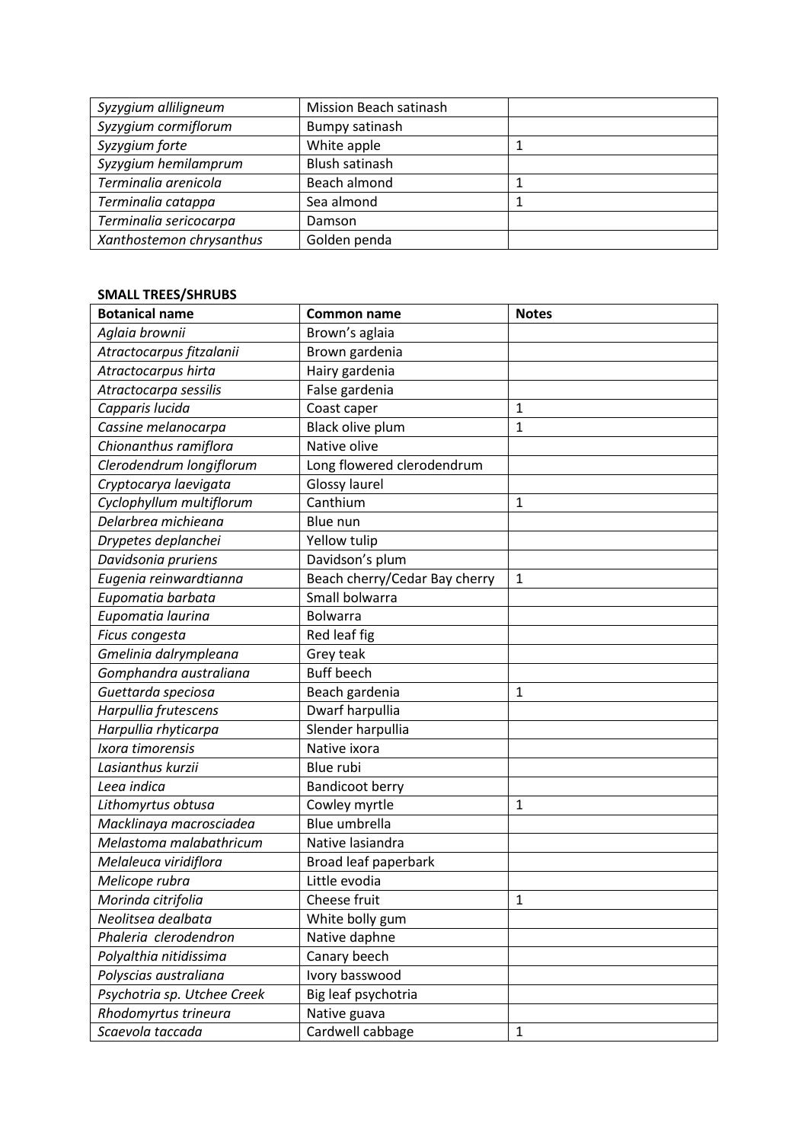| Syzygium alliligneum     | Mission Beach satinash |  |
|--------------------------|------------------------|--|
| Syzygium cormiflorum     | Bumpy satinash         |  |
| Syzygium forte           | White apple            |  |
| Syzygium hemilamprum     | Blush satinash         |  |
| Terminalia arenicola     | Beach almond           |  |
| Terminalia catappa       | Sea almond             |  |
| Terminalia sericocarpa   | Damson                 |  |
| Xanthostemon chrysanthus | Golden penda           |  |

# **SMALL TREES/SHRUBS**

| <b>Botanical name</b>       | <b>Common name</b>            | <b>Notes</b> |
|-----------------------------|-------------------------------|--------------|
| Aglaia brownii              | Brown's aglaia                |              |
| Atractocarpus fitzalanii    | Brown gardenia                |              |
| Atractocarpus hirta         | Hairy gardenia                |              |
| Atractocarpa sessilis       | False gardenia                |              |
| Capparis lucida             | Coast caper                   | $\mathbf 1$  |
| Cassine melanocarpa         | Black olive plum              | 1            |
| Chionanthus ramiflora       | Native olive                  |              |
| Clerodendrum longiflorum    | Long flowered clerodendrum    |              |
| Cryptocarya laevigata       | Glossy laurel                 |              |
| Cyclophyllum multiflorum    | Canthium                      | 1            |
| Delarbrea michieana         | Blue nun                      |              |
| Drypetes deplanchei         | Yellow tulip                  |              |
| Davidsonia pruriens         | Davidson's plum               |              |
| Eugenia reinwardtianna      | Beach cherry/Cedar Bay cherry | $\mathbf{1}$ |
| Eupomatia barbata           | Small bolwarra                |              |
| Eupomatia laurina           | <b>Bolwarra</b>               |              |
| Ficus congesta              | Red leaf fig                  |              |
| Gmelinia dalrympleana       | Grey teak                     |              |
| Gomphandra australiana      | <b>Buff beech</b>             |              |
| Guettarda speciosa          | Beach gardenia                | 1            |
| Harpullia frutescens        | Dwarf harpullia               |              |
| Harpullia rhyticarpa        | Slender harpullia             |              |
| Ixora timorensis            | Native ixora                  |              |
| Lasianthus kurzii           | Blue rubi                     |              |
| Leea indica                 | <b>Bandicoot berry</b>        |              |
| Lithomyrtus obtusa          | Cowley myrtle                 | 1            |
| Macklinaya macrosciadea     | Blue umbrella                 |              |
| Melastoma malabathricum     | Native lasiandra              |              |
| Melaleuca viridiflora       | Broad leaf paperbark          |              |
| Melicope rubra              | Little evodia                 |              |
| Morinda citrifolia          | Cheese fruit                  | $\mathbf{1}$ |
| Neolitsea dealbata          | White bolly gum               |              |
| Phaleria clerodendron       | Native daphne                 |              |
| Polyalthia nitidissima      | Canary beech                  |              |
| Polyscias australiana       | Ivory basswood                |              |
| Psychotria sp. Utchee Creek | Big leaf psychotria           |              |
| Rhodomyrtus trineura        | Native guava                  |              |
| Scaevola taccada            | Cardwell cabbage              | $\mathbf{1}$ |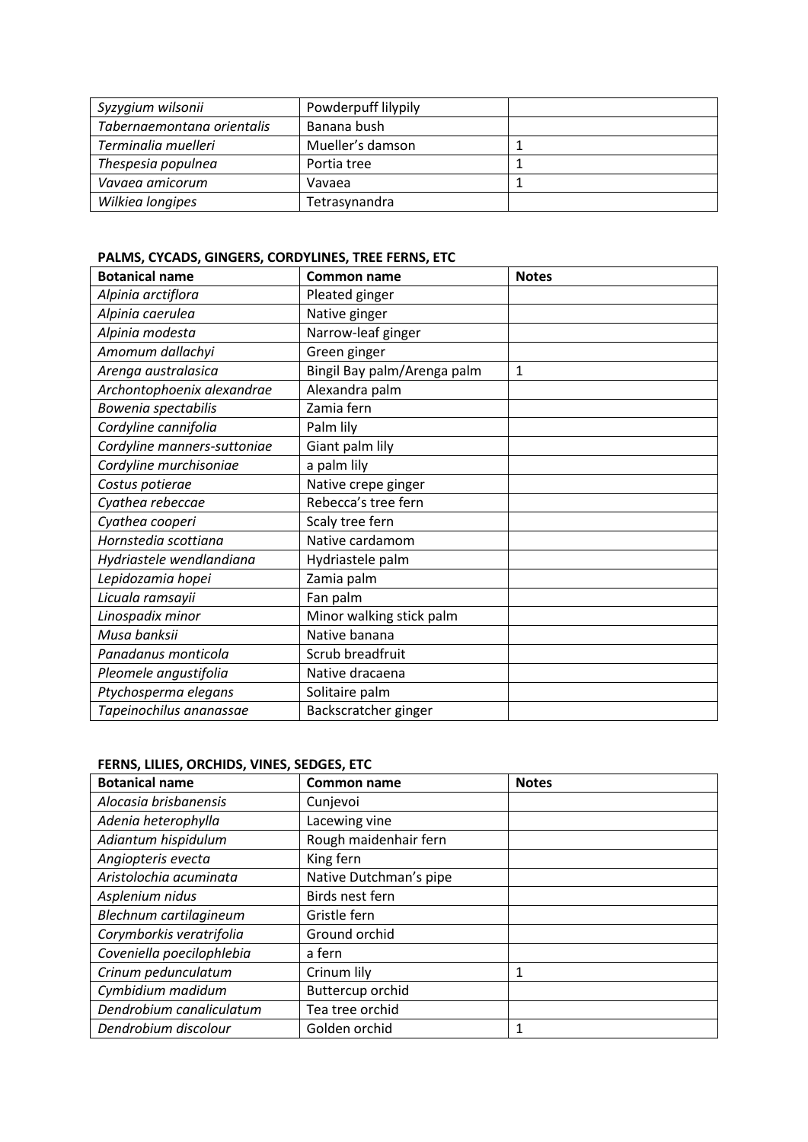| Syzygium wilsonii          | Powderpuff lilypily |  |
|----------------------------|---------------------|--|
| Tabernaemontana orientalis | Banana bush         |  |
| Terminalia muelleri        | Mueller's damson    |  |
| Thespesia populnea         | Portia tree         |  |
| Vavaea amicorum            | Vavaea              |  |
| Wilkiea longipes           | Tetrasynandra       |  |

# **PALMS, CYCADS, GINGERS, CORDYLINES, TREE FERNS, ETC**

| <b>Botanical name</b>       | <b>Common name</b>          | <b>Notes</b> |
|-----------------------------|-----------------------------|--------------|
| Alpinia arctiflora          | Pleated ginger              |              |
| Alpinia caerulea            | Native ginger               |              |
| Alpinia modesta             | Narrow-leaf ginger          |              |
| Amomum dallachyi            | Green ginger                |              |
| Arenga australasica         | Bingil Bay palm/Arenga palm | $\mathbf{1}$ |
| Archontophoenix alexandrae  | Alexandra palm              |              |
| Bowenia spectabilis         | Zamia fern                  |              |
| Cordyline cannifolia        | Palm lily                   |              |
| Cordyline manners-suttoniae | Giant palm lily             |              |
| Cordyline murchisoniae      | a palm lily                 |              |
| Costus potierae             | Native crepe ginger         |              |
| Cyathea rebeccae            | Rebecca's tree fern         |              |
| Cyathea cooperi             | Scaly tree fern             |              |
| Hornstedia scottiana        | Native cardamom             |              |
| Hydriastele wendlandiana    | Hydriastele palm            |              |
| Lepidozamia hopei           | Zamia palm                  |              |
| Licuala ramsayii            | Fan palm                    |              |
| Linospadix minor            | Minor walking stick palm    |              |
| Musa banksii                | Native banana               |              |
| Panadanus monticola         | Scrub breadfruit            |              |
| Pleomele angustifolia       | Native dracaena             |              |
| Ptychosperma elegans        | Solitaire palm              |              |
| Tapeinochilus ananassae     | Backscratcher ginger        |              |

| <b>Botanical name</b>     | <b>Common name</b>     | <b>Notes</b> |
|---------------------------|------------------------|--------------|
| Alocasia brisbanensis     | Cunjevoi               |              |
| Adenia heterophylla       | Lacewing vine          |              |
| Adiantum hispidulum       | Rough maidenhair fern  |              |
| Angiopteris evecta        | King fern              |              |
| Aristolochia acuminata    | Native Dutchman's pipe |              |
| Asplenium nidus           | Birds nest fern        |              |
| Blechnum cartilagineum    | Gristle fern           |              |
| Corymborkis veratrifolia  | Ground orchid          |              |
| Coveniella poecilophlebia | a fern                 |              |
| Crinum pedunculatum       | Crinum lily            | 1            |
| Cymbidium madidum         | Buttercup orchid       |              |
| Dendrobium canaliculatum  | Tea tree orchid        |              |
| Dendrobium discolour      | Golden orchid          |              |